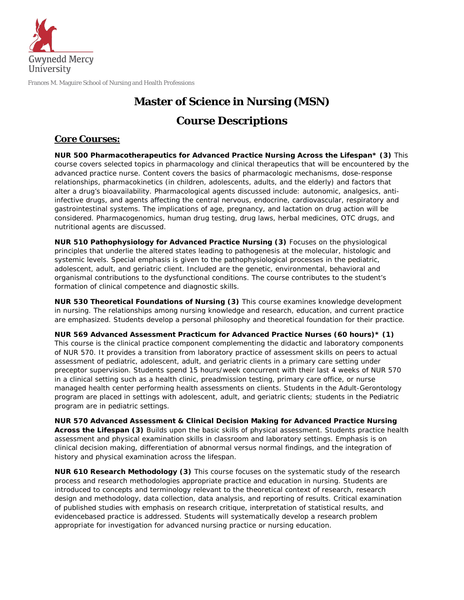

Frances M. Maguire School of Nursing and Health Professions

# **Master of Science in Nursing (MSN) Course Descriptions**

### *Core Courses:*

**NUR 500 Pharmacotherapeutics for Advanced Practice Nursing Across the Lifespan\* (3)** This course covers selected topics in pharmacology and clinical therapeutics that will be encountered by the advanced practice nurse. Content covers the basics of pharmacologic mechanisms, dose-response relationships, pharmacokinetics (in children, adolescents, adults, and the elderly) and factors that alter a drug's bioavailability. Pharmacological agents discussed include: autonomic, analgesics, antiinfective drugs, and agents affecting the central nervous, endocrine, cardiovascular, respiratory and gastrointestinal systems. The implications of age, pregnancy, and lactation on drug action will be considered. Pharmacogenomics, human drug testing, drug laws, herbal medicines, OTC drugs, and nutritional agents are discussed.

**NUR 510 Pathophysiology for Advanced Practice Nursing (3)** Focuses on the physiological principles that underlie the altered states leading to pathogenesis at the molecular, histologic and systemic levels. Special emphasis is given to the pathophysiological processes in the pediatric, adolescent, adult, and geriatric client. Included are the genetic, environmental, behavioral and organismal contributions to the dysfunctional conditions. The course contributes to the student's formation of clinical competence and diagnostic skills.

**NUR 530 Theoretical Foundations of Nursing (3)** This course examines knowledge development in nursing. The relationships among nursing knowledge and research, education, and current practice are emphasized. Students develop a personal philosophy and theoretical foundation for their practice.

**NUR 569 Advanced Assessment Practicum for Advanced Practice Nurses (60 hours)\* (1)** This course is the clinical practice component complementing the didactic and laboratory components of NUR 570. It provides a transition from laboratory practice of assessment skills on peers to actual assessment of pediatric, adolescent, adult, and geriatric clients in a primary care setting under preceptor supervision. Students spend 15 hours/week concurrent with their last 4 weeks of NUR 570 in a clinical setting such as a health clinic, preadmission testing, primary care office, or nurse managed health center performing health assessments on clients. Students in the Adult-Gerontology program are placed in settings with adolescent, adult, and geriatric clients; students in the Pediatric program are in pediatric settings.

**NUR 570 Advanced Assessment & Clinical Decision Making for Advanced Practice Nursing Across the Lifespan (3)** Builds upon the basic skills of physical assessment. Students practice health assessment and physical examination skills in classroom and laboratory settings. Emphasis is on clinical decision making, differentiation of abnormal versus normal findings, and the integration of history and physical examination across the lifespan.

**NUR 610 Research Methodology (3)** This course focuses on the systematic study of the research process and research methodologies appropriate practice and education in nursing. Students are introduced to concepts and terminology relevant to the theoretical context of research, research design and methodology, data collection, data analysis, and reporting of results. Critical examination of published studies with emphasis on research critique, interpretation of statistical results, and evidencebased practice is addressed. Students will systematically develop a research problem appropriate for investigation for advanced nursing practice or nursing education.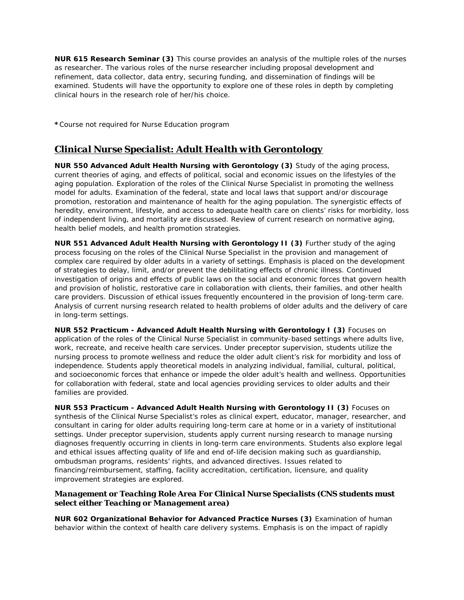**NUR 615 Research Seminar (3)** This course provides an analysis of the multiple roles of the nurses as researcher. The various roles of the nurse researcher including proposal development and refinement, data collector, data entry, securing funding, and dissemination of findings will be examined. Students will have the opportunity to explore one of these roles in depth by completing clinical hours in the research role of her/his choice.

*\*Course not required for Nurse Education program*

## *Clinical Nurse Specialist: Adult Health with Gerontology*

**NUR 550 Advanced Adult Health Nursing with Gerontology (3)** Study of the aging process, current theories of aging, and effects of political, social and economic issues on the lifestyles of the aging population. Exploration of the roles of the Clinical Nurse Specialist in promoting the wellness model for adults. Examination of the federal, state and local laws that support and/or discourage promotion, restoration and maintenance of health for the aging population. The synergistic effects of heredity, environment, lifestyle, and access to adequate health care on clients' risks for morbidity, loss of independent living, and mortality are discussed. Review of current research on normative aging, health belief models, and health promotion strategies.

**NUR 551 Advanced Adult Health Nursing with Gerontology II (3)** Further study of the aging process focusing on the roles of the Clinical Nurse Specialist in the provision and management of complex care required by older adults in a variety of settings. Emphasis is placed on the development of strategies to delay, limit, and/or prevent the debilitating effects of chronic illness. Continued investigation of origins and effects of public laws on the social and economic forces that govern health and provision of holistic, restorative care in collaboration with clients, their families, and other health care providers. Discussion of ethical issues frequently encountered in the provision of long-term care. Analysis of current nursing research related to health problems of older adults and the delivery of care in long-term settings.

**NUR 552 Practicum - Advanced Adult Health Nursing with Gerontology I (3)** Focuses on application of the roles of the Clinical Nurse Specialist in community-based settings where adults live, work, recreate, and receive health care services. Under preceptor supervision, students utilize the nursing process to promote wellness and reduce the older adult client's risk for morbidity and loss of independence. Students apply theoretical models in analyzing individual, familial, cultural, political, and socioeconomic forces that enhance or impede the older adult's health and wellness. Opportunities for collaboration with federal, state and local agencies providing services to older adults and their families are provided.

**NUR 553 Practicum - Advanced Adult Health Nursing with Gerontology II (3)** Focuses on synthesis of the Clinical Nurse Specialist's roles as clinical expert, educator, manager, researcher, and consultant in caring for older adults requiring long-term care at home or in a variety of institutional settings. Under preceptor supervision, students apply current nursing research to manage nursing diagnoses frequently occurring in clients in long-term care environments. Students also explore legal and ethical issues affecting quality of life and end of-life decision making such as guardianship, ombudsman programs, residents' rights, and advanced directives. Issues related to financing/reimbursement, staffing, facility accreditation, certification, licensure, and quality improvement strategies are explored.

#### *Management or Teaching Role Area For Clinical Nurse Specialists (CNS students must select either Teaching or Management area)*

**NUR 602 Organizational Behavior for Advanced Practice Nurses (3)** Examination of human behavior within the context of health care delivery systems. Emphasis is on the impact of rapidly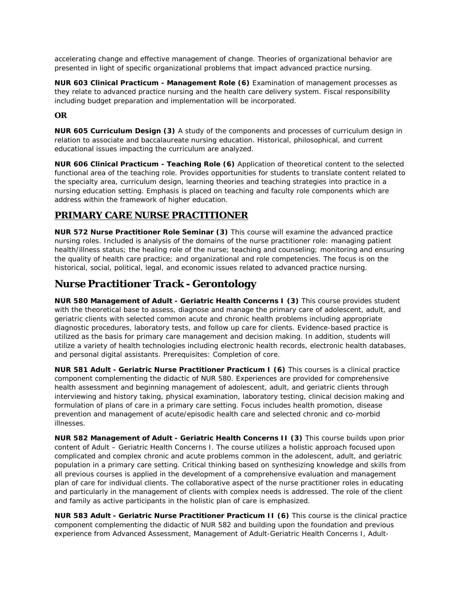accelerating change and effective management of change. Theories of organizational behavior are presented in light of specific organizational problems that impact advanced practice nursing.

**NUR 603 Clinical Practicum - Management Role (6)** Examination of management processes as they relate to advanced practice nursing and the health care delivery system. Fiscal responsibility including budget preparation and implementation will be incorporated.

#### **OR**

**NUR 605 Curriculum Design (3)** A study of the components and processes of curriculum design in relation to associate and baccalaureate nursing education. Historical, philosophical, and current educational issues impacting the curriculum are analyzed.

**NUR 606 Clinical Practicum - Teaching Role (6)** Application of theoretical content to the selected functional area of the teaching role. Provides opportunities for students to translate content related to the specialty area, curriculum design, learning theories and teaching strategies into practice in a nursing education setting. Emphasis is placed on teaching and faculty role components which are address within the framework of higher education.

### *PRIMARY CARE NURSE PRACTITIONER*

**NUR 572 Nurse Practitioner Role Seminar (3)** This course will examine the advanced practice nursing roles. Included is analysis of the domains of the nurse practitioner role: managing patient health/illness status; the healing role of the nurse; teaching and counseling; monitoring and ensuring the quality of health care practice; and organizational and role competencies. The focus is on the historical, social, political, legal, and economic issues related to advanced practice nursing.

# *Nurse Practitioner Track - Gerontology*

**NUR 580 Management of Adult - Geriatric Health Concerns I (3)** This course provides student with the theoretical base to assess, diagnose and manage the primary care of adolescent, adult, and geriatric clients with selected common acute and chronic health problems including appropriate diagnostic procedures, laboratory tests, and follow up care for clients. Evidence-based practice is utilized as the basis for primary care management and decision making. In addition, students will utilize a variety of health technologies including electronic health records, electronic health databases, and personal digital assistants. Prerequisites: Completion of core.

**NUR 581 Adult - Geriatric Nurse Practitioner Practicum I (6)** This courses is a clinical practice component complementing the didactic of NUR 580. Experiences are provided for comprehensive health assessment and beginning management of adolescent, adult, and geriatric clients through interviewing and history taking, physical examination, laboratory testing, clinical decision making and formulation of plans of care in a primary care setting. Focus includes health promotion, disease prevention and management of acute/episodic health care and selected chronic and co-morbid illnesses.

**NUR 582 Management of Adult - Geriatric Health Concerns II (3)** This course builds upon prior content of Adult – Geriatric Health Concerns I. The course utilizes a holistic approach focused upon complicated and complex chronic and acute problems common in the adolescent, adult, and geriatric population in a primary care setting. Critical thinking based on synthesizing knowledge and skills from all previous courses is applied in the development of a comprehensive evaluation and management plan of care for individual clients. The collaborative aspect of the nurse practitioner roles in educating and particularly in the management of clients with complex needs is addressed. The role of the client and family as active participants in the holistic plan of care is emphasized.

**NUR 583 Adult - Geriatric Nurse Practitioner Practicum II (6)** This course is the clinical practice component complementing the didactic of NUR 582 and building upon the foundation and previous experience from Advanced Assessment, Management of Adult-Geriatric Health Concerns I, Adult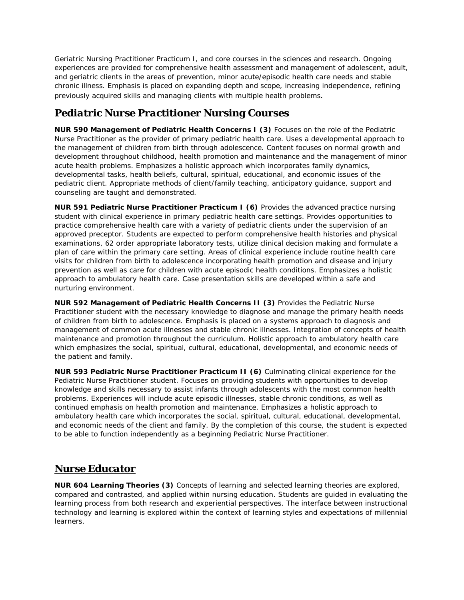Geriatric Nursing Practitioner Practicum I, and core courses in the sciences and research. Ongoing experiences are provided for comprehensive health assessment and management of adolescent, adult, and geriatric clients in the areas of prevention, minor acute/episodic health care needs and stable chronic illness. Emphasis is placed on expanding depth and scope, increasing independence, refining previously acquired skills and managing clients with multiple health problems.

# *Pediatric Nurse Practitioner Nursing Courses*

**NUR 590 Management of Pediatric Health Concerns I (3)** Focuses on the role of the Pediatric Nurse Practitioner as the provider of primary pediatric health care. Uses a developmental approach to the management of children from birth through adolescence. Content focuses on normal growth and development throughout childhood, health promotion and maintenance and the management of minor acute health problems. Emphasizes a holistic approach which incorporates family dynamics, developmental tasks, health beliefs, cultural, spiritual, educational, and economic issues of the pediatric client. Appropriate methods of client/family teaching, anticipatory guidance, support and counseling are taught and demonstrated.

**NUR 591 Pediatric Nurse Practitioner Practicum I (6)** Provides the advanced practice nursing student with clinical experience in primary pediatric health care settings. Provides opportunities to practice comprehensive health care with a variety of pediatric clients under the supervision of an approved preceptor. Students are expected to perform comprehensive health histories and physical examinations, 62 order appropriate laboratory tests, utilize clinical decision making and formulate a plan of care within the primary care setting. Areas of clinical experience include routine health care visits for children from birth to adolescence incorporating health promotion and disease and injury prevention as well as care for children with acute episodic health conditions. Emphasizes a holistic approach to ambulatory health care. Case presentation skills are developed within a safe and nurturing environment.

**NUR 592 Management of Pediatric Health Concerns II (3)** Provides the Pediatric Nurse Practitioner student with the necessary knowledge to diagnose and manage the primary health needs of children from birth to adolescence. Emphasis is placed on a systems approach to diagnosis and management of common acute illnesses and stable chronic illnesses. Integration of concepts of health maintenance and promotion throughout the curriculum. Holistic approach to ambulatory health care which emphasizes the social, spiritual, cultural, educational, developmental, and economic needs of the patient and family.

**NUR 593 Pediatric Nurse Practitioner Practicum II (6)** Culminating clinical experience for the Pediatric Nurse Practitioner student. Focuses on providing students with opportunities to develop knowledge and skills necessary to assist infants through adolescents with the most common health problems. Experiences will include acute episodic illnesses, stable chronic conditions, as well as continued emphasis on health promotion and maintenance. Emphasizes a holistic approach to ambulatory health care which incorporates the social, spiritual, cultural, educational, developmental, and economic needs of the client and family. By the completion of this course, the student is expected to be able to function independently as a beginning Pediatric Nurse Practitioner.

# *Nurse Educator*

**NUR 604 Learning Theories (3)** Concepts of learning and selected learning theories are explored, compared and contrasted, and applied within nursing education. Students are guided in evaluating the learning process from both research and experiential perspectives. The interface between instructional technology and learning is explored within the context of learning styles and expectations of millennial learners.